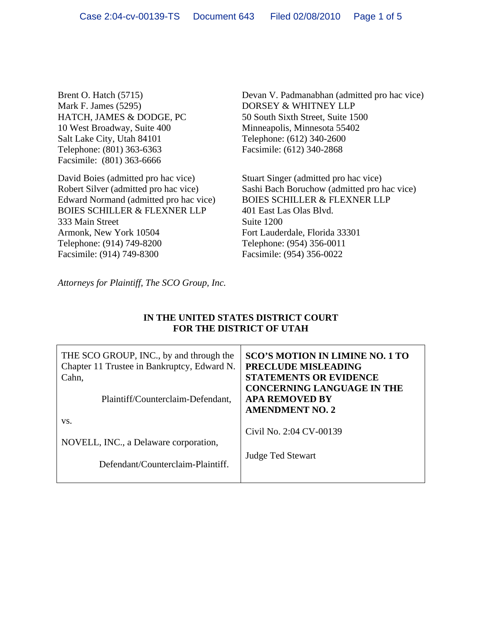Brent O. Hatch (5715) Mark F. James (5295) HATCH, JAMES & DODGE, PC 10 West Broadway, Suite 400 Salt Lake City, Utah 84101 Telephone: (801) 363-6363 Facsimile: (801) 363-6666

David Boies (admitted pro hac vice) Robert Silver (admitted pro hac vice) Edward Normand (admitted pro hac vice) BOIES SCHILLER & FLEXNER LLP 333 Main Street Armonk, New York 10504 Telephone: (914) 749-8200 Facsimile: (914) 749-8300

Devan V. Padmanabhan (admitted pro hac vice) DORSEY & WHITNEY LLP 50 South Sixth Street, Suite 1500 Minneapolis, Minnesota 55402 Telephone: (612) 340-2600 Facsimile: (612) 340-2868

Stuart Singer (admitted pro hac vice) Sashi Bach Boruchow (admitted pro hac vice) BOIES SCHILLER & FLEXNER LLP 401 East Las Olas Blvd. Suite 1200 Fort Lauderdale, Florida 33301 Telephone: (954) 356-0011 Facsimile: (954) 356-0022

*Attorneys for Plaintiff, The SCO Group, Inc.*

## **IN THE UNITED STATES DISTRICT COURT FOR THE DISTRICT OF UTAH**

| THE SCO GROUP, INC., by and through the<br>Chapter 11 Trustee in Bankruptcy, Edward N.<br>Cahn, | <b>SCO'S MOTION IN LIMINE NO. 1 TO</b><br><b>PRECLUDE MISLEADING</b><br><b>STATEMENTS OR EVIDENCE</b> |
|-------------------------------------------------------------------------------------------------|-------------------------------------------------------------------------------------------------------|
| Plaintiff/Counterclaim-Defendant,                                                               | <b>CONCERNING LANGUAGE IN THE</b><br><b>APA REMOVED BY</b><br><b>AMENDMENT NO. 2</b>                  |
| VS.<br>NOVELL, INC., a Delaware corporation,<br>Defendant/Counterclaim-Plaintiff.               | Civil No. 2:04 CV-00139<br><b>Judge Ted Stewart</b>                                                   |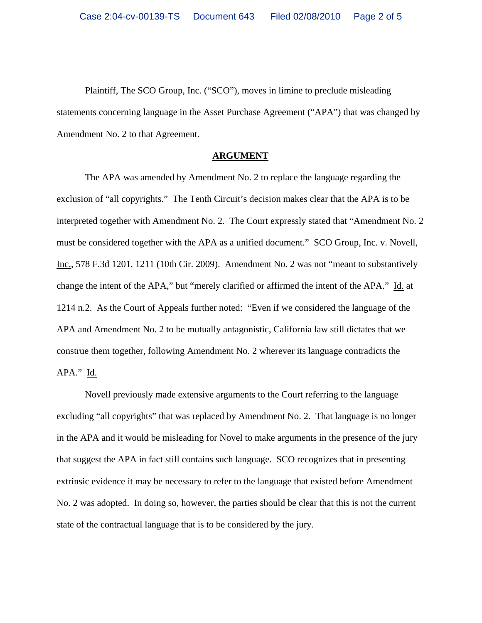Plaintiff, The SCO Group, Inc. ("SCO"), moves in limine to preclude misleading statements concerning language in the Asset Purchase Agreement ("APA") that was changed by Amendment No. 2 to that Agreement.

## **ARGUMENT**

The APA was amended by Amendment No. 2 to replace the language regarding the exclusion of "all copyrights." The Tenth Circuit's decision makes clear that the APA is to be interpreted together with Amendment No. 2. The Court expressly stated that "Amendment No. 2 must be considered together with the APA as a unified document." SCO Group, Inc. v. Novell, Inc., 578 F.3d 1201, 1211 (10th Cir. 2009). Amendment No. 2 was not "meant to substantively change the intent of the APA," but "merely clarified or affirmed the intent of the APA." Id. at 1214 n.2. As the Court of Appeals further noted: "Even if we considered the language of the APA and Amendment No. 2 to be mutually antagonistic, California law still dictates that we construe them together, following Amendment No. 2 wherever its language contradicts the APA." Id.

Novell previously made extensive arguments to the Court referring to the language excluding "all copyrights" that was replaced by Amendment No. 2. That language is no longer in the APA and it would be misleading for Novel to make arguments in the presence of the jury that suggest the APA in fact still contains such language. SCO recognizes that in presenting extrinsic evidence it may be necessary to refer to the language that existed before Amendment No. 2 was adopted. In doing so, however, the parties should be clear that this is not the current state of the contractual language that is to be considered by the jury.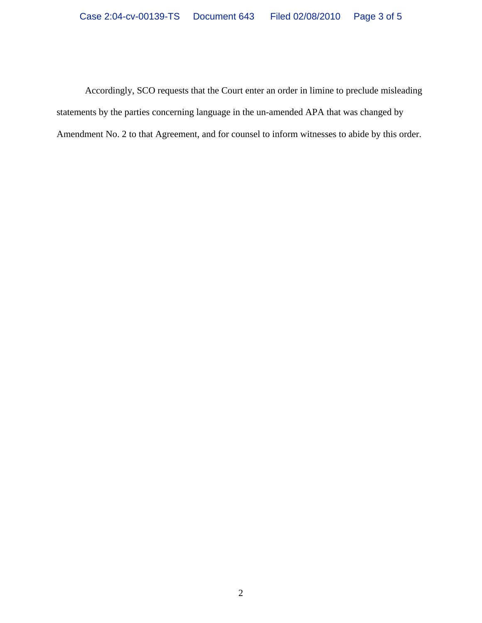Accordingly, SCO requests that the Court enter an order in limine to preclude misleading statements by the parties concerning language in the un-amended APA that was changed by Amendment No. 2 to that Agreement, and for counsel to inform witnesses to abide by this order.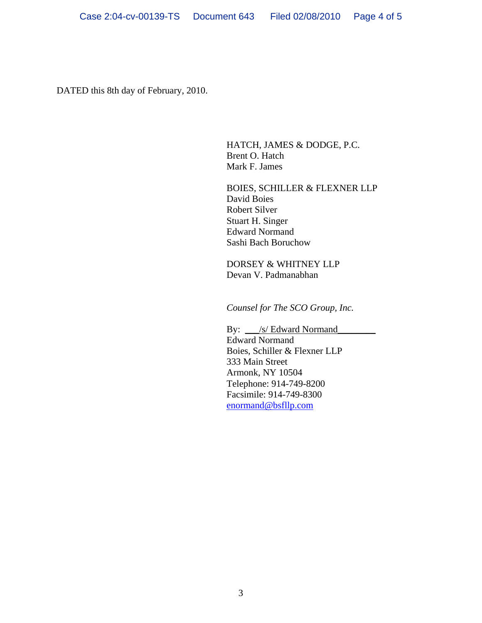DATED this 8th day of February, 2010.

HATCH, JAMES & DODGE, P.C. Brent O. Hatch Mark F. James

BOIES, SCHILLER & FLEXNER LLP David Boies Robert Silver Stuart H. Singer Edward Normand Sashi Bach Boruchow

DORSEY & WHITNEY LLP Devan V. Padmanabhan

*Counsel for The SCO Group, Inc.*

By:  $\angle$  /s/ Edward Normand Edward Normand Boies, Schiller & Flexner LLP 333 Main Street Armonk, NY 10504 Telephone: 914-749-8200 Facsimile: 914-749-8300 [enormand@bsfllp.com](mailto:enormand@bsfllp.com)